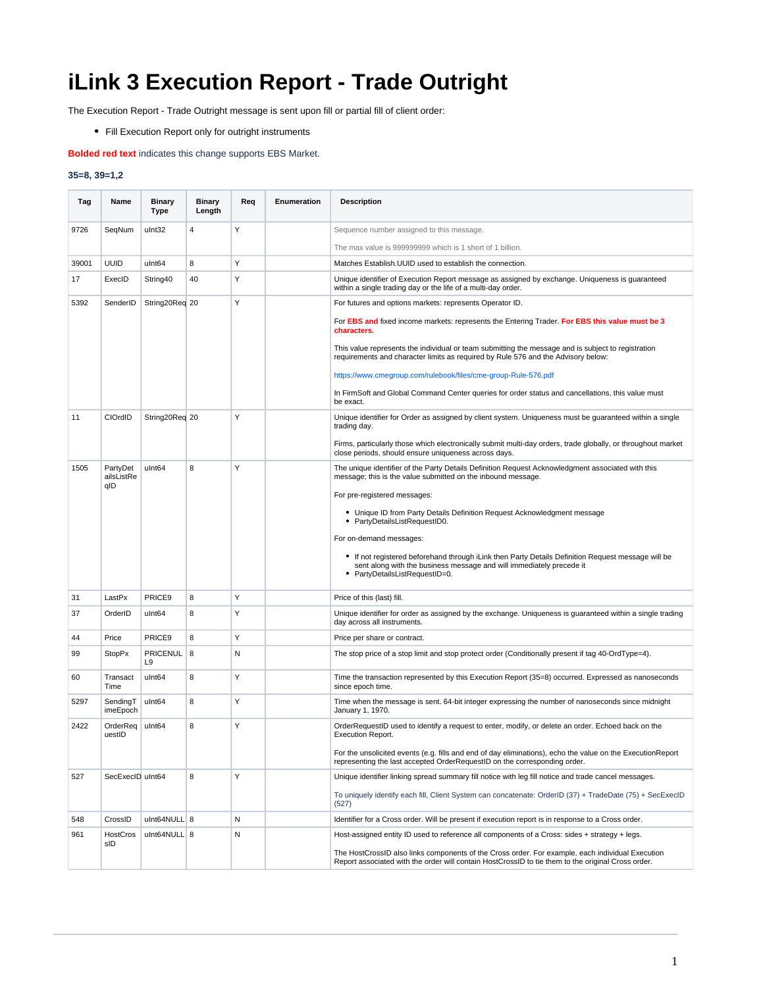## **iLink 3 Execution Report - Trade Outright**

The Execution Report - Trade Outright message is sent upon fill or partial fill of client order:

Fill Execution Report only for outright instruments

## **Bolded red text** indicates this change supports EBS Market.

## **35=8, 39=1,2**

| Tag   | Name                          | <b>Binary</b><br>Type | <b>Binary</b><br>Length | Req | Enumeration | <b>Description</b>                                                                                                                                                                                           |
|-------|-------------------------------|-----------------------|-------------------------|-----|-------------|--------------------------------------------------------------------------------------------------------------------------------------------------------------------------------------------------------------|
| 9726  | SeqNum                        | ulnt32                | $\overline{4}$          | Υ   |             | Sequence number assigned to this message.                                                                                                                                                                    |
|       |                               |                       |                         |     |             | The max value is 999999999 which is 1 short of 1 billion.                                                                                                                                                    |
| 39001 | <b>UUID</b>                   | ulnt64                | 8                       | Υ   |             | Matches Establish. UUID used to establish the connection.                                                                                                                                                    |
| 17    | ExecID                        | String40              | 40                      | Y   |             | Unique identifier of Execution Report message as assigned by exchange. Uniqueness is guaranteed<br>within a single trading day or the life of a multi-day order.                                             |
| 5392  | SenderID                      | String20Req 20        |                         | Y   |             | For futures and options markets: represents Operator ID.                                                                                                                                                     |
|       |                               |                       |                         |     |             | For EBS and fixed income markets: represents the Entering Trader. For EBS this value must be 3<br>characters.                                                                                                |
|       |                               |                       |                         |     |             | This value represents the individual or team submitting the message and is subject to registration<br>requirements and character limits as required by Rule 576 and the Advisory below:                      |
|       |                               |                       |                         |     |             | https://www.cmegroup.com/rulebook/files/cme-group-Rule-576.pdf                                                                                                                                               |
|       |                               |                       |                         |     |             | In FirmSoft and Global Command Center queries for order status and cancellations, this value must<br>be exact.                                                                                               |
| 11    | CIOrdID                       | String20Req 20        |                         | Υ   |             | Unique identifier for Order as assigned by client system. Uniqueness must be guaranteed within a single<br>trading day.                                                                                      |
|       |                               |                       |                         |     |             | Firms, particularly those which electronically submit multi-day orders, trade globally, or throughout market<br>close periods, should ensure uniqueness across days.                                         |
| 1505  | PartvDet<br>ailsListRe<br>qID | ulnt64                | 8                       | Y   |             | The unique identifier of the Party Details Definition Request Acknowledgment associated with this<br>message; this is the value submitted on the inbound message.                                            |
|       |                               |                       |                         |     |             | For pre-registered messages:                                                                                                                                                                                 |
|       |                               |                       |                         |     |             | • Unique ID from Party Details Definition Request Acknowledgment message<br>• PartyDetailsListRequestID0.                                                                                                    |
|       |                               |                       |                         |     |             | For on-demand messages:                                                                                                                                                                                      |
|       |                               |                       |                         |     |             | • If not registered beforehand through iLink then Party Details Definition Request message will be<br>sent along with the business message and will immediately precede it<br>• PartyDetailsListRequestID=0. |
| 31    | LastPx                        | PRICE9                | 8                       | Υ   |             | Price of this (last) fill.                                                                                                                                                                                   |
| 37    | OrderID                       | ulnt64                | 8                       | Y   |             | Unique identifier for order as assigned by the exchange. Uniqueness is guaranteed within a single trading<br>day across all instruments.                                                                     |
| 44    | Price                         | PRICE9                | 8                       | Υ   |             | Price per share or contract.                                                                                                                                                                                 |
| 99    | <b>StopPx</b>                 | <b>PRICENUL</b><br>L9 | 8                       | N   |             | The stop price of a stop limit and stop protect order (Conditionally present if tag 40-OrdType=4).                                                                                                           |
| 60    | Transact<br>Time              | ulnt64                | 8                       | Y   |             | Time the transaction represented by this Execution Report (35=8) occurred. Expressed as nanoseconds<br>since epoch time.                                                                                     |
| 5297  | SendingT<br>imeEpoch          | ulnt64                | 8                       | Y   |             | Time when the message is sent. 64-bit integer expressing the number of nanoseconds since midnight<br>January 1, 1970.                                                                                        |
| 2422  | OrderReq<br>uestID            | ulnt64                | 8                       | Υ   |             | OrderRequestID used to identify a request to enter, modify, or delete an order. Echoed back on the<br><b>Execution Report.</b>                                                                               |
|       |                               |                       |                         |     |             | For the unsolicited events (e.g. fills and end of day eliminations), echo the value on the ExecutionReport<br>representing the last accepted OrderRequestID on the corresponding order.                      |
| 527   | SecExecID uInt64              |                       | 8                       | Y   |             | Unique identifier linking spread summary fill notice with leg fill notice and trade cancel messages.                                                                                                         |
|       |                               |                       |                         |     |             | To uniquely identify each fill, Client System can concatenate: OrderID (37) + TradeDate (75) + SecExecID<br>(527)                                                                                            |
| 548   | CrossID                       | ulnt64NULL 8          |                         | N   |             | Identifier for a Cross order. Will be present if execution report is in response to a Cross order.                                                                                                           |
| 961   | HostCros<br>sID               | uInt64NULL 8          |                         | N   |             | Host-assigned entity ID used to reference all components of a Cross: sides + strategy + legs.                                                                                                                |
|       |                               |                       |                         |     |             | The HostCrossID also links components of the Cross order. For example, each individual Execution<br>Report associated with the order will contain HostCrossID to tie them to the original Cross order.       |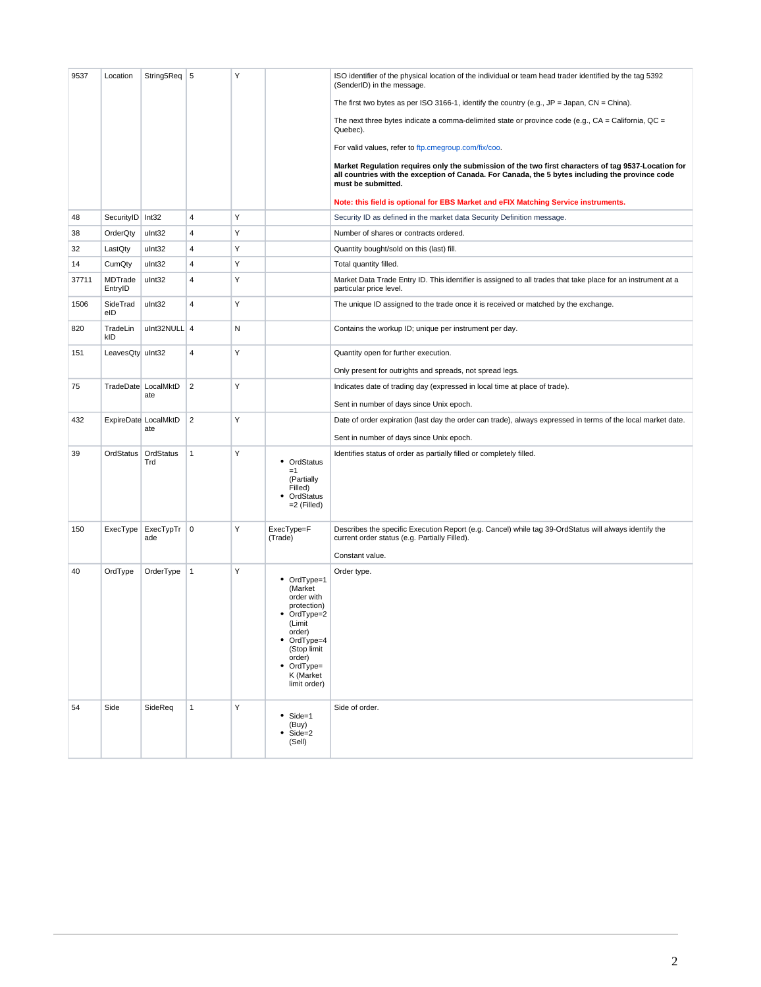| 9537  | Location               | String5Req 5                 |                | Υ |                                                                                                                                                                         | ISO identifier of the physical location of the individual or team head trader identified by the tag 5392<br>(SenderID) in the message.                                                                                       |
|-------|------------------------|------------------------------|----------------|---|-------------------------------------------------------------------------------------------------------------------------------------------------------------------------|------------------------------------------------------------------------------------------------------------------------------------------------------------------------------------------------------------------------------|
|       |                        |                              |                |   |                                                                                                                                                                         | The first two bytes as per ISO 3166-1, identify the country (e.g., $JP = Japan$ , $CN = China$ ).                                                                                                                            |
|       |                        |                              |                |   |                                                                                                                                                                         | The next three bytes indicate a comma-delimited state or province code (e.g., $CA = California$ , $QC =$<br>Quebec).                                                                                                         |
|       |                        |                              |                |   |                                                                                                                                                                         | For valid values, refer to ftp.cmegroup.com/fix/coo.                                                                                                                                                                         |
|       |                        |                              |                |   |                                                                                                                                                                         | Market Regulation requires only the submission of the two first characters of tag 9537-Location for<br>all countries with the exception of Canada. For Canada, the 5 bytes including the province code<br>must be submitted. |
|       |                        |                              |                |   |                                                                                                                                                                         | Note: this field is optional for EBS Market and eFIX Matching Service instruments.                                                                                                                                           |
| 48    | SecurityID Int32       |                              | 4              | Υ |                                                                                                                                                                         | Security ID as defined in the market data Security Definition message.                                                                                                                                                       |
| 38    | OrderQty               | ulnt32                       | 4              | Υ |                                                                                                                                                                         | Number of shares or contracts ordered.                                                                                                                                                                                       |
| 32    | LastQty                | ulnt32                       | 4              | Υ |                                                                                                                                                                         | Quantity bought/sold on this (last) fill.                                                                                                                                                                                    |
| 14    | CumQty                 | ulnt32                       | 4              | Υ |                                                                                                                                                                         | Total quantity filled.                                                                                                                                                                                                       |
| 37711 | MDTrade<br>EntryID     | ulnt32                       | 4              | Υ |                                                                                                                                                                         | Market Data Trade Entry ID. This identifier is assigned to all trades that take place for an instrument at a<br>particular price level.                                                                                      |
| 1506  | SideTrad<br>eID        | ulnt32                       | 4              | Υ |                                                                                                                                                                         | The unique ID assigned to the trade once it is received or matched by the exchange.                                                                                                                                          |
| 820   | TradeLin<br><b>kID</b> | ulnt32NULL 4                 |                | N |                                                                                                                                                                         | Contains the workup ID; unique per instrument per day.                                                                                                                                                                       |
| 151   | LeavesQty uInt32       |                              | 4              | Υ |                                                                                                                                                                         | Quantity open for further execution.                                                                                                                                                                                         |
|       |                        |                              |                |   |                                                                                                                                                                         | Only present for outrights and spreads, not spread legs.                                                                                                                                                                     |
| 75    |                        | TradeDate LocalMktD          | $\overline{2}$ | Υ |                                                                                                                                                                         | Indicates date of trading day (expressed in local time at place of trade).                                                                                                                                                   |
|       |                        | ate                          |                |   |                                                                                                                                                                         | Sent in number of days since Unix epoch.                                                                                                                                                                                     |
| 432   |                        | ExpireDate LocalMktD         | $\overline{2}$ | Y |                                                                                                                                                                         | Date of order expiration (last day the order can trade), always expressed in terms of the local market date.                                                                                                                 |
|       |                        | ate                          |                |   |                                                                                                                                                                         | Sent in number of days since Unix epoch.                                                                                                                                                                                     |
| 39    |                        | OrdStatus   OrdStatus<br>Trd | $\mathbf{1}$   | Υ | • OrdStatus<br>$=1$<br>(Partially<br>Filled)<br>OrdStatus<br>٠<br>$=2$ (Filled)                                                                                         | Identifies status of order as partially filled or completely filled.                                                                                                                                                         |
| 150   | ExecType               | ExecTypTr<br>ade             | $\mathbf 0$    | Υ | ExecType=F<br>(Trade)                                                                                                                                                   | Describes the specific Execution Report (e.g. Cancel) while tag 39-OrdStatus will always identify the<br>current order status (e.g. Partially Filled).<br>Constant value.                                                    |
| 40    | OrdType                | OrderType                    | $\mathbf{1}$   | Υ | • OrdType=1<br>(Market<br>order with<br>protection)<br>• OrdType=2<br>(Limit<br>order)<br>• OrdType=4<br>(Stop limit<br>order)<br>OrdType=<br>K (Market<br>limit order) | Order type.                                                                                                                                                                                                                  |
| 54    | Side                   | SideReq                      | $\mathbf{1}$   | Y | $\bullet$ Side=1<br>(Buy)<br>Side=2<br>(Sell)                                                                                                                           | Side of order.                                                                                                                                                                                                               |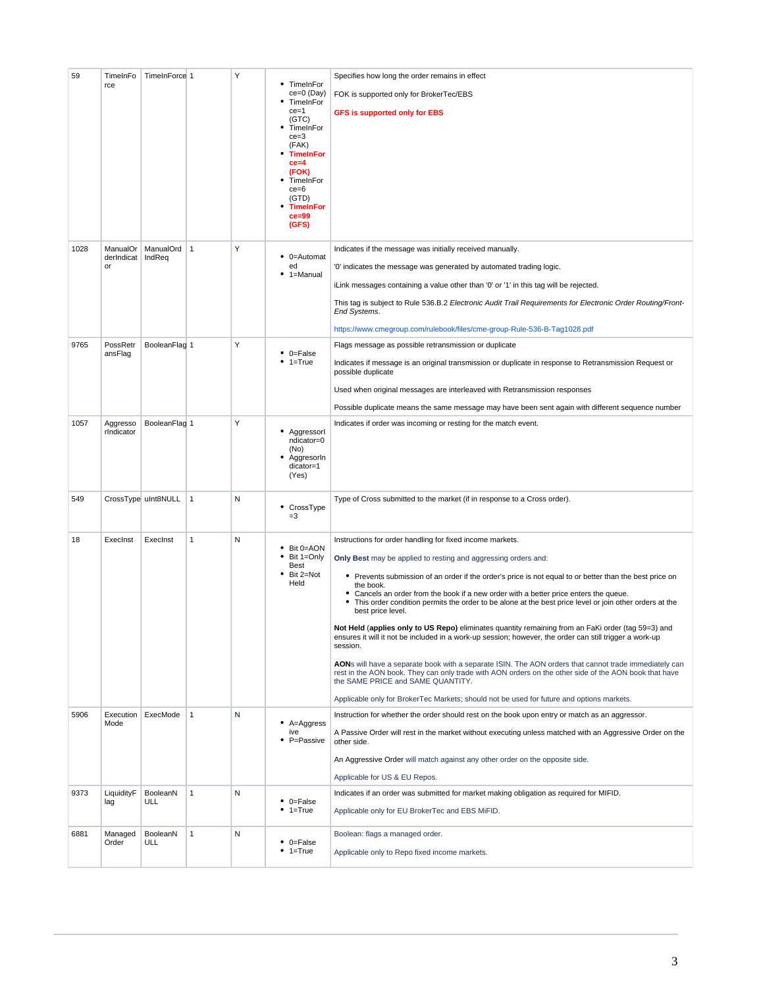| 59   | TimeInFo<br>rce              | TimeInForce 1          |              | Υ | • TimeInFor<br>$ce=0$ (Day)<br>TimeInFor<br>$ce = 1$<br>(GTC)<br>TimeInFor<br>$ce = 3$<br>(FAK)<br><b>TimeInFor</b><br>$ce = 4$<br>(FOK)<br>TimeInFor<br>$ce = 6$<br>(GTD)<br><b>TimeInFor</b><br>$ce = 99$<br>(GFS) | Specifies how long the order remains in effect<br>FOK is supported only for BrokerTec/EBS<br><b>GFS is supported only for EBS</b>                                                                                                                                                                                                                                                                                                                                                                                                                                                                                                                                                                                                                                                                                                                                                                                                                                                                                                                              |
|------|------------------------------|------------------------|--------------|---|----------------------------------------------------------------------------------------------------------------------------------------------------------------------------------------------------------------------|----------------------------------------------------------------------------------------------------------------------------------------------------------------------------------------------------------------------------------------------------------------------------------------------------------------------------------------------------------------------------------------------------------------------------------------------------------------------------------------------------------------------------------------------------------------------------------------------------------------------------------------------------------------------------------------------------------------------------------------------------------------------------------------------------------------------------------------------------------------------------------------------------------------------------------------------------------------------------------------------------------------------------------------------------------------|
| 1028 | ManualOr<br>derIndicat<br>or | ManualOrd 1<br>IndReq  |              | Υ | • 0=Automat<br>ed<br>1=Manual                                                                                                                                                                                        | Indicates if the message was initially received manually.<br>'0' indicates the message was generated by automated trading logic.<br>iLink messages containing a value other than '0' or '1' in this tag will be rejected.<br>This tag is subject to Rule 536.B.2 Electronic Audit Trail Requirements for Electronic Order Routing/Front-<br>End Systems.<br>https://www.cmegroup.com/rulebook/files/cme-group-Rule-536-B-Tag1028.pdf                                                                                                                                                                                                                                                                                                                                                                                                                                                                                                                                                                                                                           |
| 9765 | PossRetr<br>ansFlag          | BooleanFlag 1          |              | Y | $\bullet$ 0=False<br>$• 1 = True$                                                                                                                                                                                    | Flags message as possible retransmission or duplicate<br>Indicates if message is an original transmission or duplicate in response to Retransmission Request or<br>possible duplicate<br>Used when original messages are interleaved with Retransmission responses<br>Possible duplicate means the same message may have been sent again with different sequence number                                                                                                                                                                                                                                                                                                                                                                                                                                                                                                                                                                                                                                                                                        |
| 1057 | Aggresso<br>rIndicator       | BooleanFlag 1          |              | Υ | Aggressorl<br>ndicator=0<br>(No)<br>AggresorIn<br>dicator=1<br>(Yes)                                                                                                                                                 | Indicates if order was incoming or resting for the match event.                                                                                                                                                                                                                                                                                                                                                                                                                                                                                                                                                                                                                                                                                                                                                                                                                                                                                                                                                                                                |
| 549  |                              | CrossType uInt8NULL    | $\mathbf{1}$ | N | • CrossType<br>$=3$                                                                                                                                                                                                  | Type of Cross submitted to the market (if in response to a Cross order).                                                                                                                                                                                                                                                                                                                                                                                                                                                                                                                                                                                                                                                                                                                                                                                                                                                                                                                                                                                       |
| 18   | Execinst                     | ExecInst               | $\mathbf{1}$ | N | • Bit 0=AON<br>Bit 1=Only<br>Best<br>Bit 2=Not<br>Held                                                                                                                                                               | Instructions for order handling for fixed income markets.<br>Only Best may be applied to resting and aggressing orders and:<br>• Prevents submission of an order if the order's price is not equal to or better than the best price on<br>the book.<br>• Cancels an order from the book if a new order with a better price enters the queue.<br>• This order condition permits the order to be alone at the best price level or join other orders at the<br>best price level.<br>Not Held (applies only to US Repo) eliminates quantity remaining from an FaKi order (tag 59=3) and<br>ensures it will it not be included in a work-up session; however, the order can still trigger a work-up<br>session.<br>AONs will have a separate book with a separate ISIN. The AON orders that cannot trade immediately can<br>rest in the AON book. They can only trade with AON orders on the other side of the AON book that have<br>the SAME PRICE and SAME QUANTITY.<br>Applicable only for BrokerTec Markets; should not be used for future and options markets. |
| 5906 | Mode                         | Execution ExecMode     | $\mathbf{1}$ | N | • A=Aggress<br>ive<br>• P=Passive                                                                                                                                                                                    | Instruction for whether the order should rest on the book upon entry or match as an aggressor.<br>A Passive Order will rest in the market without executing unless matched with an Aggressive Order on the<br>other side.<br>An Aggressive Order will match against any other order on the opposite side.<br>Applicable for US & EU Repos.                                                                                                                                                                                                                                                                                                                                                                                                                                                                                                                                                                                                                                                                                                                     |
| 9373 | LiquidityF<br>lag            | BooleanN<br><b>ULL</b> | $\mathbf{1}$ | N | $\bullet$ 0=False<br>$• 1 = True$                                                                                                                                                                                    | Indicates if an order was submitted for market making obligation as required for MIFID.<br>Applicable only for EU BrokerTec and EBS MiFID.                                                                                                                                                                                                                                                                                                                                                                                                                                                                                                                                                                                                                                                                                                                                                                                                                                                                                                                     |
| 6881 | Managed<br>Order             | BooleanN<br>ULL        | $\mathbf{1}$ | N | $\bullet$ 0=False<br>$• 1 = True$                                                                                                                                                                                    | Boolean: flags a managed order.<br>Applicable only to Repo fixed income markets.                                                                                                                                                                                                                                                                                                                                                                                                                                                                                                                                                                                                                                                                                                                                                                                                                                                                                                                                                                               |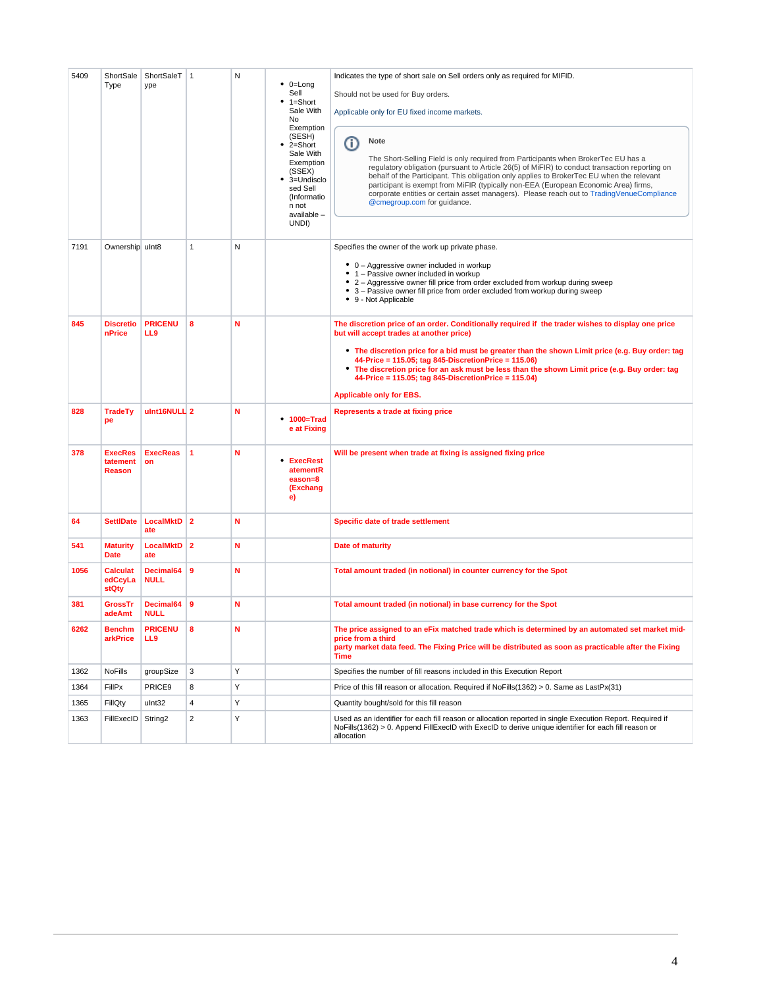| 5409 | ShortSale<br>Type                    | ShortSaleT<br>ype        | $\overline{1}$          | N | $\bullet$ 0=Long<br>Sell<br>1=Short<br>٠<br>Sale With<br>No<br>Exemption<br>(SESH)<br>2=Short<br>٠<br>Sale With<br>Exemption<br>(SSEX)<br>• 3=Undisclo<br>sed Sell<br>(Informatio<br>n not<br>available -<br>UNDI) | Indicates the type of short sale on Sell orders only as required for MIFID.<br>Should not be used for Buy orders.<br>Applicable only for EU fixed income markets.<br><b>Note</b><br>Ο<br>The Short-Selling Field is only required from Participants when BrokerTec EU has a<br>regulatory obligation (pursuant to Article 26(5) of MiFIR) to conduct transaction reporting on<br>behalf of the Participant. This obligation only applies to BrokerTec EU when the relevant<br>participant is exempt from MiFIR (typically non-EEA (European Economic Area) firms,<br>corporate entities or certain asset managers). Please reach out to TradingVenueCompliance<br>@cmegroup.com for guidance. |
|------|--------------------------------------|--------------------------|-------------------------|---|--------------------------------------------------------------------------------------------------------------------------------------------------------------------------------------------------------------------|-----------------------------------------------------------------------------------------------------------------------------------------------------------------------------------------------------------------------------------------------------------------------------------------------------------------------------------------------------------------------------------------------------------------------------------------------------------------------------------------------------------------------------------------------------------------------------------------------------------------------------------------------------------------------------------------------|
| 7191 | Ownership uInt8                      |                          | 1                       | N |                                                                                                                                                                                                                    | Specifies the owner of the work up private phase.<br>• 0 - Aggressive owner included in workup<br>• 1 - Passive owner included in workup<br>• 2 - Aggressive owner fill price from order excluded from workup during sweep<br>• 3 - Passive owner fill price from order excluded from workup during sweep<br>• 9 - Not Applicable                                                                                                                                                                                                                                                                                                                                                             |
| 845  | <b>Discretio</b><br>nPrice           | <b>PRICENU</b><br>LL9    | 8                       | N |                                                                                                                                                                                                                    | The discretion price of an order. Conditionally required if the trader wishes to display one price<br>but will accept trades at another price)<br>• The discretion price for a bid must be greater than the shown Limit price (e.g. Buy order: tag<br>44-Price = 115.05; tag 845-DiscretionPrice = 115.06)<br>• The discretion price for an ask must be less than the shown Limit price (e.g. Buy order: tag<br>44-Price = 115.05; tag 845-DiscretionPrice = 115.04)<br><b>Applicable only for EBS.</b>                                                                                                                                                                                       |
| 828  | <b>TradeTy</b><br>pe                 | ulnt16NULL 2             |                         | N | • 1000=Trad<br>e at Fixing                                                                                                                                                                                         | Represents a trade at fixing price                                                                                                                                                                                                                                                                                                                                                                                                                                                                                                                                                                                                                                                            |
| 378  | <b>ExecRes</b><br>tatement<br>Reason | <b>ExecReas</b><br>on    | $\blacktriangleleft$    | N | • ExecRest<br>atementR<br>eason=8<br>(Exchang<br>e)                                                                                                                                                                | Will be present when trade at fixing is assigned fixing price                                                                                                                                                                                                                                                                                                                                                                                                                                                                                                                                                                                                                                 |
| 64   | <b>SettIDate</b>                     | <b>LocalMktD</b><br>ate  | $\overline{\mathbf{2}}$ | N |                                                                                                                                                                                                                    | <b>Specific date of trade settlement</b>                                                                                                                                                                                                                                                                                                                                                                                                                                                                                                                                                                                                                                                      |
| 541  | <b>Maturity</b><br><b>Date</b>       | <b>LocalMktD</b><br>ate  | $\overline{2}$          | N |                                                                                                                                                                                                                    | Date of maturity                                                                                                                                                                                                                                                                                                                                                                                                                                                                                                                                                                                                                                                                              |
| 1056 | <b>Calculat</b><br>edCcyLa<br>stQty  | Decimal64<br><b>NULL</b> | $\overline{9}$          | N |                                                                                                                                                                                                                    | Total amount traded (in notional) in counter currency for the Spot                                                                                                                                                                                                                                                                                                                                                                                                                                                                                                                                                                                                                            |
| 381  | <b>GrossTr</b><br>adeAmt             | Decimal64<br><b>NULL</b> | 9                       | N |                                                                                                                                                                                                                    | Total amount traded (in notional) in base currency for the Spot                                                                                                                                                                                                                                                                                                                                                                                                                                                                                                                                                                                                                               |
| 6262 | <b>Benchm</b><br>arkPrice            | <b>PRICENU</b><br>LL9    | 8                       | N |                                                                                                                                                                                                                    | The price assigned to an eFix matched trade which is determined by an automated set market mid-<br>price from a third<br>party market data feed. The Fixing Price will be distributed as soon as practicable after the Fixing<br>Time                                                                                                                                                                                                                                                                                                                                                                                                                                                         |
| 1362 | <b>NoFills</b>                       | groupSize                | 3                       | Υ |                                                                                                                                                                                                                    | Specifies the number of fill reasons included in this Execution Report                                                                                                                                                                                                                                                                                                                                                                                                                                                                                                                                                                                                                        |
| 1364 | FillPx                               | PRICE9                   | 8                       | Υ |                                                                                                                                                                                                                    | Price of this fill reason or allocation. Required if $NoFills(1362) > 0$ . Same as LastPx(31)                                                                                                                                                                                                                                                                                                                                                                                                                                                                                                                                                                                                 |
| 1365 | FillQty                              | ulnt32                   | $\overline{4}$          | Υ |                                                                                                                                                                                                                    | Quantity bought/sold for this fill reason                                                                                                                                                                                                                                                                                                                                                                                                                                                                                                                                                                                                                                                     |
| 1363 | FillExecID                           | String <sub>2</sub>      | $\overline{2}$          | Υ |                                                                                                                                                                                                                    | Used as an identifier for each fill reason or allocation reported in single Execution Report. Required if<br>NoFills(1362) > 0. Append FillExecID with ExecID to derive unique identifier for each fill reason or<br>allocation                                                                                                                                                                                                                                                                                                                                                                                                                                                               |